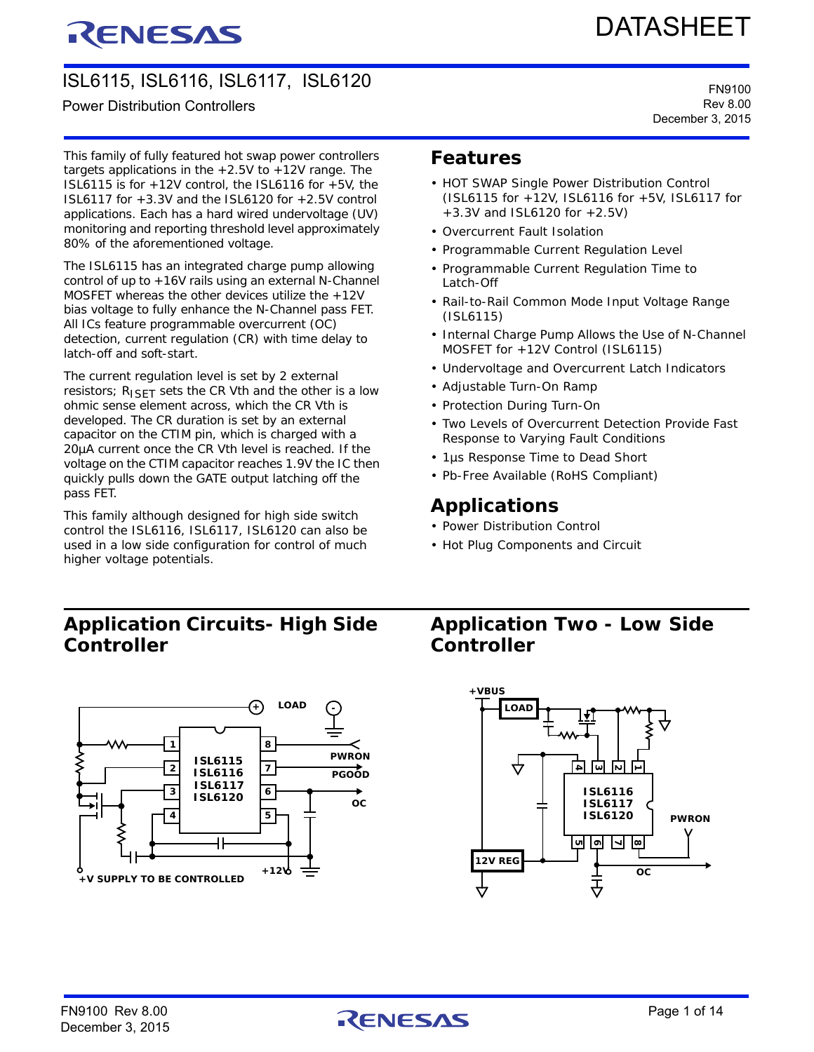# RENESAS

# DATASHEET

# ISL6115, ISL6116, ISL6117, ISL6120

### Power Distribution Controllers

This family of fully featured hot swap power controllers targets applications in the  $+2.5V$  to  $+12V$  range. The ISL6115 is for  $+12V$  control, the ISL6116 for  $+5V$ , the ISL6117 for +3.3V and the ISL6120 for +2.5V control applications. Each has a hard wired undervoltage (UV) monitoring and reporting threshold level approximately 80% of the aforementioned voltage.

The ISL6115 has an integrated charge pump allowing control of up to +16V rails using an external N-Channel MOSFET whereas the other devices utilize the +12V bias voltage to fully enhance the N-Channel pass FET. All ICs feature programmable overcurrent (OC) detection, current regulation (CR) with time delay to latch-off and soft-start.

The current regulation level is set by 2 external resistors;  $R_{\text{ISET}}$  sets the CR Vth and the other is a low ohmic sense element across, which the CR Vth is developed. The CR duration is set by an external capacitor on the CTIM pin, which is charged with a 20µA current once the CR Vth level is reached. If the voltage on the CTIM capacitor reaches 1.9V the IC then quickly pulls down the GATE output latching off the pass FET.

This family although designed for high side switch control the ISL6116, ISL6117, ISL6120 can also be used in a low side configuration for control of much higher voltage potentials.

## **Features**

- HOT SWAP Single Power Distribution Control (ISL6115 for +12V, ISL6116 for +5V, ISL6117 for +3.3V and ISL6120 for +2.5V)
- Overcurrent Fault Isolation
- Programmable Current Regulation Level
- Programmable Current Regulation Time to Latch-Off
- Rail-to-Rail Common Mode Input Voltage Range (ISL6115)
- Internal Charge Pump Allows the Use of N-Channel MOSFET for +12V Control (ISL6115)
- Undervoltage and Overcurrent Latch Indicators
- Adjustable Turn-On Ramp
- Protection During Turn-On
- Two Levels of Overcurrent Detection Provide Fast Response to Varying Fault Conditions
- 1µs Response Time to Dead Short
- Pb-Free Available (RoHS Compliant)

### **Applications**

- Power Distribution Control
- Hot Plug Components and Circuit

### **Application Circuits- High Side Controller**



### **Application Two - Low Side Controller**



FN9100 Rev 8.00  $\bigcap_{\text{Preember 3, 2015}}$ 

FN9100 Rev 8.00 December 3, 2015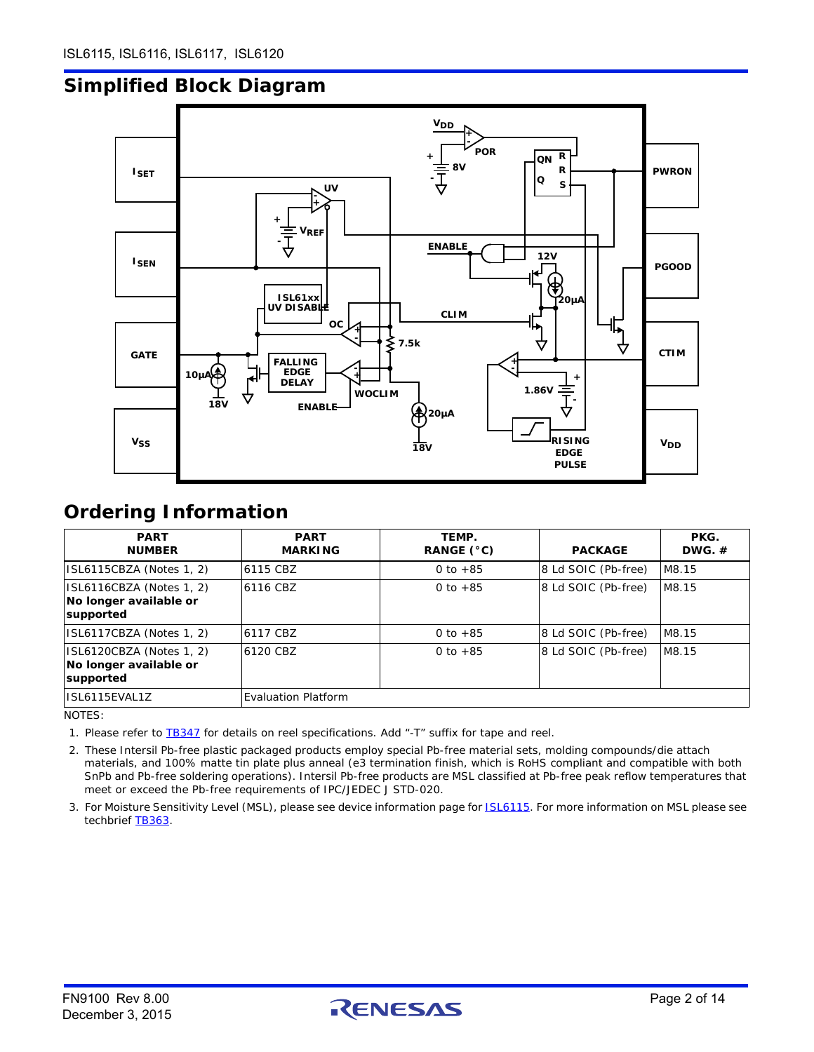# **Simplified Block Diagram**



### <span id="page-1-2"></span>**Ordering Information**

| <b>PART</b><br><b>NUMBER</b>                                    | <b>PART</b><br><b>MARKING</b> | TEMP.<br>RANGE (°C) | <b>PACKAGE</b>      | PKG.<br>DWG. $#$ |
|-----------------------------------------------------------------|-------------------------------|---------------------|---------------------|------------------|
| ISL6115CBZA (Notes 1, 2)                                        | 6115 CBZ                      | 0 to $+85$          | 8 Ld SOIC (Pb-free) | M8.15            |
| ISL6116CBZA (Notes 1, 2)<br>No longer available or<br>supported | 6116 CBZ                      | 0 to $+85$          | 8 Ld SOIC (Pb-free) | M8.15            |
| ISL6117CBZA (Notes 1, 2)                                        | 6117 CBZ                      | 0 to $+85$          | 8 Ld SOIC (Pb-free) | M8.15            |
| ISL6120CBZA (Notes 1, 2)<br>No longer available or<br>supported | 6120 CBZ                      | 0 to $+85$          | 8 Ld SOIC (Pb-free) | M8.15            |
| ISL6115EVAL1Z                                                   | <b>Evaluation Platform</b>    |                     |                     |                  |

NOTES:

<span id="page-1-0"></span>1. [Please refer to](http://www.intersil.com/data/tb/tb347.pdf) TB347 for details on reel specifications. Add "-T" suffix for tape and reel.

<span id="page-1-1"></span>2. These Intersil Pb-free plastic packaged products employ special Pb-free material sets, molding compounds/die attach materials, and 100% matte tin plate plus anneal (e3 termination finish, which is RoHS compliant and compatible with both SnPb and Pb-free soldering operations). Intersil Pb-free products are MSL classified at Pb-free peak reflow temperatures that meet or exceed the Pb-free requirements of IPC/JEDEC J STD-020.

3. For Moisture Sensitivity Level (MSL), please see device information page for **ISL6115**. For more information on MSL please see techbrief [TB363](http://www.intersil.com/data/tb/tb363.pdf).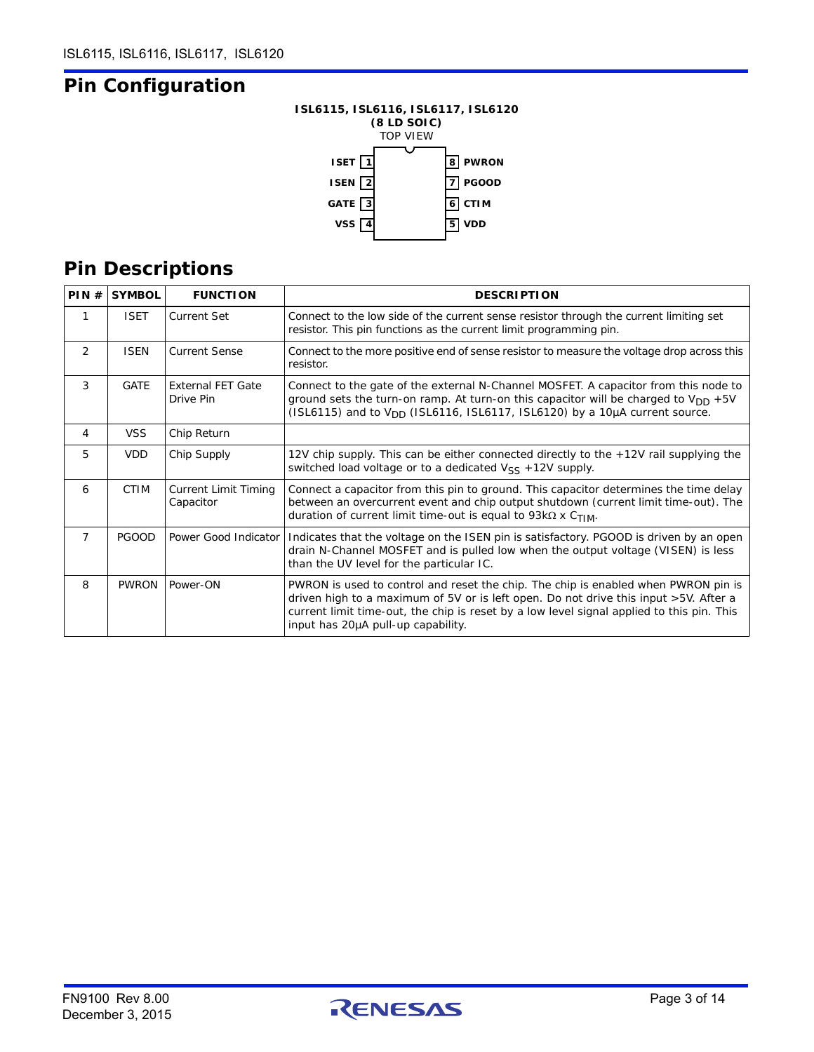# **Pin Configuration**

### **ISL6115, ISL6116, ISL6117, ISL6120 (8 LD SOIC)** TOP VIEW



# **Pin Descriptions**

| PIN#           | <b>SYMBOL</b> | <b>FUNCTION</b>                          | <b>DESCRIPTION</b>                                                                                                                                                                                                                                                                                            |
|----------------|---------------|------------------------------------------|---------------------------------------------------------------------------------------------------------------------------------------------------------------------------------------------------------------------------------------------------------------------------------------------------------------|
| 1              | <b>ISET</b>   | Current Set                              | Connect to the low side of the current sense resistor through the current limiting set<br>resistor. This pin functions as the current limit programming pin.                                                                                                                                                  |
| $\overline{2}$ | <b>ISEN</b>   | <b>Current Sense</b>                     | Connect to the more positive end of sense resistor to measure the voltage drop across this<br>resistor.                                                                                                                                                                                                       |
| 3              | <b>GATE</b>   | <b>External FET Gate</b><br>Drive Pin    | Connect to the gate of the external N-Channel MOSFET. A capacitor from this node to<br>ground sets the turn-on ramp. At turn-on this capacitor will be charged to $V_{DD}$ +5V<br>(ISL6115) and to $V_{DD}$ (ISL6116, ISL6117, ISL6120) by a 10 $\mu$ A current source.                                       |
| 4              | <b>VSS</b>    | Chip Return                              |                                                                                                                                                                                                                                                                                                               |
| 5              | <b>VDD</b>    | Chip Supply                              | 12V chip supply. This can be either connected directly to the +12V rail supplying the<br>switched load voltage or to a dedicated $V_{\rm SS}$ +12V supply.                                                                                                                                                    |
| 6              | <b>CTIM</b>   | <b>Current Limit Timing</b><br>Capacitor | Connect a capacitor from this pin to ground. This capacitor determines the time delay<br>between an overcurrent event and chip output shutdown (current limit time-out). The<br>duration of current limit time-out is equal to 93k $\Omega$ x C <sub>TIM</sub> .                                              |
| $\overline{7}$ | <b>PGOOD</b>  | Power Good Indicator                     | Indicates that the voltage on the ISEN pin is satisfactory. PGOOD is driven by an open<br>drain N-Channel MOSFET and is pulled low when the output voltage (VISEN) is less<br>than the UV level for the particular IC.                                                                                        |
| 8              | <b>PWRON</b>  | Power-ON                                 | PWRON is used to control and reset the chip. The chip is enabled when PWRON pin is<br>driven high to a maximum of 5V or is left open. Do not drive this input >5V. After a<br>current limit time-out, the chip is reset by a low level signal applied to this pin. This<br>input has 20µA pull-up capability. |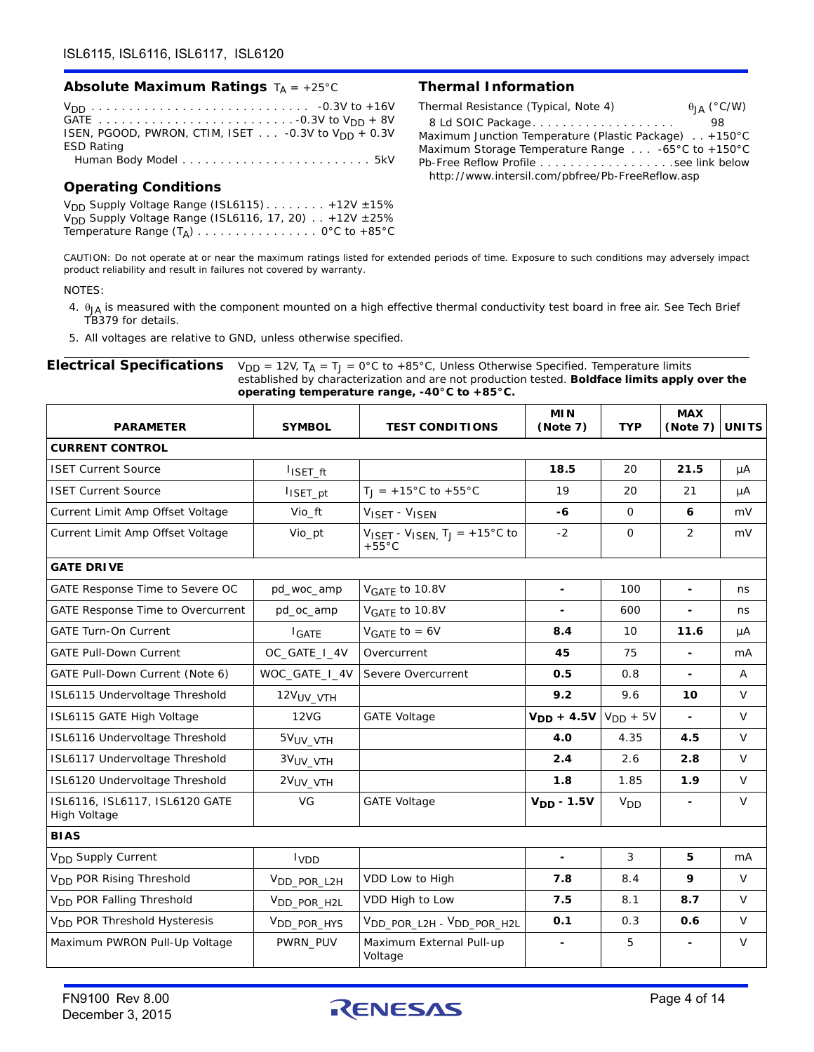### **Absolute Maximum Ratings**  $T_A = +25^{\circ}C$  **Thermal Information**

VDD . . . . . . . . . . . . . . . . . . . . . . . . . . . . . -0.3V to +16V GATE . . . . . . . . . . . . . . . . . . . . . . . . . . -0.3V to VDD + 8V ISEN, PGOOD, PWRON, CTIM, ISET . . . - 0.3V to V<sub>DD</sub> + 0.3V ESD Rating Human Body Model . . . . . . . . . . . . . . . . . . . . . . . . . 5kV

### **Operating Conditions**

 $V<sub>DD</sub>$  Supply Voltage Range (ISL6115) . . . . . . . . +12V  $\pm$ 15%  $V<sub>DD</sub>$  Supply Voltage Range (ISL6116, 17, 20)  $\ldots$  +12V  $\pm 25\%$ Temperature Range  $(T_A)$  . . . . . . . . . . . . . . . 0°C to +85°C

| Thermal Resistance (Typical, Note 4)                       | $\theta_{IA}$ (°C/W) |
|------------------------------------------------------------|----------------------|
| 8 Ld SOIC Package                                          | 98                   |
| Maximum Junction Temperature (Plastic Package) +150°C      |                      |
| Maximum Storage Temperature Range $\ldots$ -65°C to +150°C |                      |
|                                                            |                      |
| http://www.intersil.com/pbfree/Pb-FreeReflow.asp           |                      |

*CAUTION: Do not operate at or near the maximum ratings listed for extended periods of time. Exposure to such conditions may adversely impact product reliability and result in failures not covered by warranty.*

### NOTES:

- <span id="page-3-0"></span>4.  $\theta_{JA}$  is measured with the component mounted on a high effective thermal conductivity test board in free air. See Tech Brief TB379 for details.
- 5. All voltages are relative to GND, unless otherwise specified.

### **Electrical Specifications**  $V_{DD} = 12V$ ,  $T_A = T_J = 0^\circ C$  to +85°C, Unless Otherwise Specified. Temperature limits established by characterization and are not production tested. **Boldface limits apply over the operating temperature range, -40°C to +85°C.**

| <b>PARAMETER</b>                               | <b>SYMBOL</b>           | <b>TEST CONDITIONS</b>                                                                            | <b>MIN</b><br>(Note 7) | <b>TYP</b>      | <b>MAX</b><br>(Note 7) | <b>UNITS</b> |
|------------------------------------------------|-------------------------|---------------------------------------------------------------------------------------------------|------------------------|-----------------|------------------------|--------------|
| <b>CURRENT CONTROL</b>                         |                         |                                                                                                   |                        |                 |                        |              |
| <b>ISET Current Source</b>                     | $I$ <sub>ISET_ft</sub>  |                                                                                                   | 18.5                   | 20              | 21.5                   | μA           |
| <b>ISET Current Source</b>                     | I <sub>ISET_pt</sub>    | $T_1 = +15^{\circ}$ C to +55°C                                                                    | 19                     | 20              | 21                     | μA           |
| Current Limit Amp Offset Voltage               | Vio_ft                  | VISET - VISEN                                                                                     | -6                     | $\mathbf{O}$    | 6                      | mV           |
| Current Limit Amp Offset Voltage               | Vio_pt                  | $V_{\text{ISET}} - V_{\text{ISEN}}$ , $T_{\text{J}} = +15^{\circ} \text{C}$ to<br>$+55^{\circ}$ C | $-2$                   | $\Omega$        | $\overline{2}$         | mV           |
| <b>GATE DRIVE</b>                              |                         |                                                                                                   |                        |                 |                        |              |
| GATE Response Time to Severe OC                | pd_woc_amp              | V <sub>GATE</sub> to 10.8V                                                                        |                        | 100             | $\blacksquare$         | ns           |
| GATE Response Time to Overcurrent              | pd_oc_amp               | V <sub>GATE</sub> to 10.8V                                                                        |                        | 600             |                        | ns           |
| <b>GATE Turn-On Current</b>                    | I <sub>GATE</sub>       | $VGATE$ to = 6V                                                                                   | 8.4                    | 10              | 11.6                   | μA           |
| <b>GATE Pull-Down Current</b>                  | OC_GATE_I_4V            | Overcurrent                                                                                       | 45                     | 75              | $\blacksquare$         | mA           |
| GATE Pull-Down Current (Note 6)                | WOC_GATE_I_4V           | Severe Overcurrent                                                                                | 0.5                    | 0.8             | $\blacksquare$         | Α            |
| ISL6115 Undervoltage Threshold                 | 12V <sub>UV_VTH</sub>   |                                                                                                   | 9.2                    | 9.6             | 10                     | $\vee$       |
| ISL6115 GATE High Voltage                      | <b>12VG</b>             | <b>GATE Voltage</b>                                                                               | $V_{DD} + 4.5V$        | $V_{DD}$ + 5V   | $\blacksquare$         | V            |
| ISL6116 Undervoltage Threshold                 | 5V <sub>UV</sub> VTH    |                                                                                                   | 4.0                    | 4.35            | 4.5                    | $\vee$       |
| ISL6117 Undervoltage Threshold                 | 3VUV VTH                |                                                                                                   | 2.4                    | 2.6             | 2.8                    | V            |
| ISL6120 Undervoltage Threshold                 | 2V <sub>UV_VTH</sub>    |                                                                                                   | 1.8                    | 1.85            | 1.9                    | V            |
| ISL6116, ISL6117, ISL6120 GATE<br>High Voltage | VG                      | <b>GATE Voltage</b>                                                                               | $VDD - 1.5V$           | V <sub>DD</sub> |                        | V            |
| <b>BIAS</b>                                    |                         |                                                                                                   |                        |                 |                        |              |
| V <sub>DD</sub> Supply Current                 | <b>I</b> <sub>VDD</sub> |                                                                                                   | $\blacksquare$         | 3               | 5                      | mA           |
| V <sub>DD</sub> POR Rising Threshold           | V <sub>DD_POR_L2H</sub> | VDD Low to High                                                                                   | 7.8                    | 8.4             | 9                      | $\vee$       |
| V <sub>DD</sub> POR Falling Threshold          | V <sub>DD</sub> POR H2L | VDD High to Low                                                                                   | 7.5                    | 8.1             | 8.7                    | V            |
| V <sub>DD</sub> POR Threshold Hysteresis       | V <sub>DD_POR_HYS</sub> | VDD POR L2H - VDD POR H2L                                                                         | O.1                    | 0.3             | 0.6                    | $\vee$       |
| Maximum PWRON Pull-Up Voltage                  | PWRN_PUV                | Maximum External Pull-up<br>Voltage                                                               |                        | 5               |                        | $\vee$       |

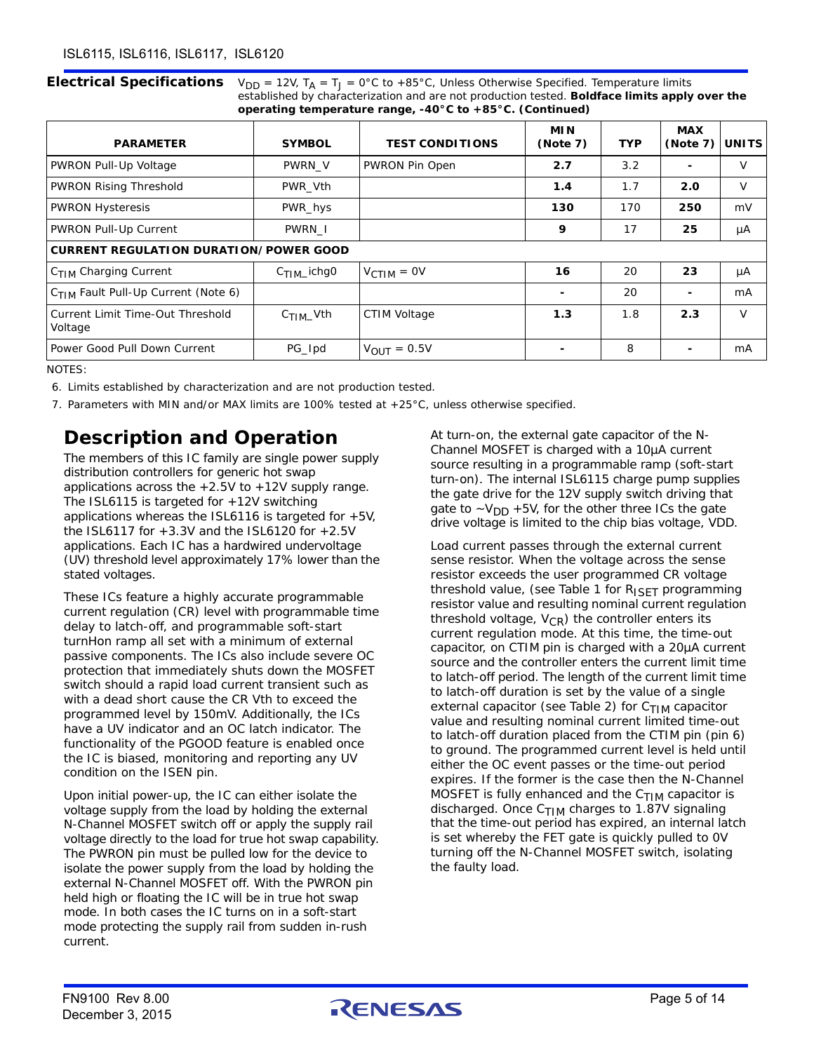**Electrical Specifications**  $V_{DD} = 12V$ ,  $T_A = T_J = 0^\circ C$  to +85°C, Unless Otherwise Specified. Temperature limits established by characterization and are not production tested. **Boldface limits apply over the operating temperature range, -40°C to +85°C. (Continued)**

| <b>PARAMETER</b>                                | <b>SYMBOL</b>          | <b>TEST CONDITIONS</b> | <b>MIN</b><br>(Note 7) | <b>TYP</b> | <b>MAX</b><br>(Note 7) | <b>UNITS</b> |
|-------------------------------------------------|------------------------|------------------------|------------------------|------------|------------------------|--------------|
| PWRON Pull-Up Voltage                           | PWRN V                 | PWRON Pin Open         | 2.7                    | 3.2        |                        | $\vee$       |
| <b>PWRON Rising Threshold</b>                   | PWR Vth                |                        | 1.4                    | 1.7        | 2.0                    | V            |
| <b>PWRON Hysteresis</b>                         | PWR_hys                |                        | 130                    | 170        | 250                    | mV           |
| PWRON Pull-Up Current                           | PWRN I                 |                        | 9                      | 17         | 25                     | μA           |
| <b>CURRENT REGULATION DURATION/POWER GOOD</b>   |                        |                        |                        |            |                        |              |
| C <sub>TIM</sub> Charging Current               | $C_{\text{TIM}}$ ichg0 | $V_{\text{CTIM}} = 0V$ | 16                     | 20         | 23                     | μA           |
| C <sub>TIM</sub> Fault Pull-Up Current (Note 6) |                        |                        |                        | 20         |                        | mA           |
| Current Limit Time-Out Threshold<br>Voltage     | $C_{\text{TIM}}$ Vth   | CTIM Voltage           | 1.3                    | 1.8        | 2.3                    | $\vee$       |
| Power Good Pull Down Current                    | PG_Ipd                 | $V_{OUIT} = 0.5V$      |                        | 8          |                        | mA           |

NOTES:

- <span id="page-4-0"></span>6. Limits established by characterization and are not production tested.
- <span id="page-4-1"></span>7. Parameters with MIN and/or MAX limits are 100% tested at +25°C, unless otherwise specified.

### **Description and Operation**

The members of this IC family are single power supply distribution controllers for generic hot swap applications across the  $+2.5V$  to  $+12V$  supply range. The ISL6115 is targeted for +12V switching applications whereas the ISL6116 is targeted for +5V, the ISL6117 for +3.3V and the ISL6120 for +2.5V applications. Each IC has a hardwired undervoltage (UV) threshold level approximately 17% lower than the stated voltages.

These ICs feature a highly accurate programmable current regulation (CR) level with programmable time delay to latch-off, and programmable soft-start turnHon ramp all set with a minimum of external passive components. The ICs also include severe OC protection that immediately shuts down the MOSFET switch should a rapid load current transient such as with a dead short cause the CR Vth to exceed the programmed level by 150mV. Additionally, the ICs have a UV indicator and an OC latch indicator. The functionality of the PGOOD feature is enabled once the IC is biased, monitoring and reporting any UV condition on the ISEN pin.

Upon initial power-up, the IC can either isolate the voltage supply from the load by holding the external N-Channel MOSFET switch off or apply the supply rail voltage directly to the load for true hot swap capability. The PWRON pin must be pulled low for the device to isolate the power supply from the load by holding the external N-Channel MOSFET off. With the PWRON pin held high or floating the IC will be in true hot swap mode. In both cases the IC turns on in a soft-start mode protecting the supply rail from sudden in-rush current.

At turn-on, the external gate capacitor of the N-Channel MOSFET is charged with a 10µA current source resulting in a programmable ramp (soft-start turn-on). The internal ISL6115 charge pump supplies the gate drive for the 12V supply switch driving that gate to  $-V_{DD}$  +5V, for the other three ICs the gate drive voltage is limited to the chip bias voltage, VDD.

Load current passes through the external current sense resistor. When the voltage across the sense resistor exceeds the user programmed CR voltage threshold value, (see Table [1](#page-5-0) for  $R_{\text{ISET}}$  programming resistor value and resulting nominal current regulation threshold voltage,  $V_{CR}$ ) the controller enters its current regulation mode. At this time, the time-out capacitor, on CTIM pin is charged with a 20µA current source and the controller enters the current limit time to latch-off period. The length of the current limit time to latch-off duration is set by the value of a single external capacitor (see Table [2](#page-5-1)) for  $C_{\text{TIM}}$  capacitor value and resulting nominal current limited time-out to latch-off duration placed from the CTIM pin (pin 6) to ground. The programmed current level is held until either the OC event passes or the time-out period expires. If the former is the case then the N-Channel MOSFET is fully enhanced and the  $C_{\text{TIM}}$  capacitor is discharged. Once  $C_{\text{TIM}}$  charges to 1.87V signaling that the time-out period has expired, an internal latch is set whereby the FET gate is quickly pulled to 0V turning off the N-Channel MOSFET switch, isolating the faulty load.

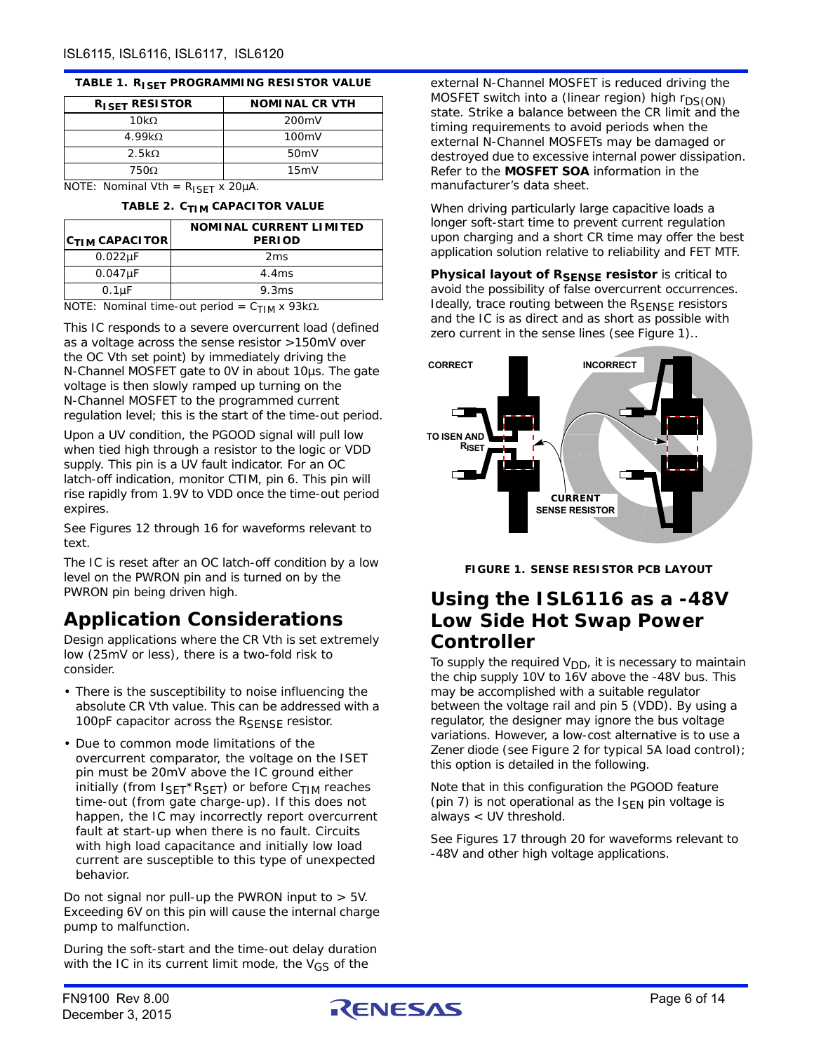### <span id="page-5-0"></span>**TABLE 1. RISET PROGRAMMING RESISTOR VALUE**

| R <sub>ISET</sub> RESISTOR | <b>NOMINAL CR VTH</b> |
|----------------------------|-----------------------|
| 10kQ                       | 200 <sub>m</sub> V    |
| 4.99 $k\Omega$             | 100mV                 |
| $2.5k\Omega$               | 50 <sub>m</sub>       |
| 7500.                      | 15mV                  |

<span id="page-5-1"></span>NOTE: Nominal Vth =  $R_{ISET}$  x 20µA.

|  |  | TABLE 2. C <sub>TIM</sub> CAPACITOR VALUE |  |
|--|--|-------------------------------------------|--|
|--|--|-------------------------------------------|--|

| $ C_{\text{TIM}}$ CAPACITOR | NOMINAL CURRENT LIMITED<br><b>PERIOD</b> |
|-----------------------------|------------------------------------------|
| $0.022\mu F$                | 2ms                                      |
| $0.047\mu F$                | 4.4ms                                    |
| $0.1 \mu F$                 | 9.3ms                                    |

NOTE: Nominal time-out period =  $C_{\text{TIM}}$  x 93k $\Omega$ .

This IC responds to a severe overcurrent load (defined as a voltage across the sense resistor >150mV over the OC Vth set point) by immediately driving the N-Channel MOSFET gate to 0V in about 10µs. The gate voltage is then slowly ramped up turning on the N-Channel MOSFET to the programmed current regulation level; this is the start of the time-out period.

Upon a UV condition, the PGOOD signal will pull low when tied high through a resistor to the logic or VDD supply. This pin is a UV fault indicator. For an OC latch-off indication, monitor CTIM, pin 6. This pin will rise rapidly from 1.9V to VDD once the time-out period expires.

See Figures [12](#page-8-0) through [16](#page-9-2) for waveforms relevant to text.

<span id="page-5-2"></span>The IC is reset after an OC latch-off condition by a low level on the PWRON pin and is turned on by the PWRON pin being driven high.

## **Application Considerations**

Design applications where the CR Vth is set extremely low (25mV or less), there is a two-fold risk to consider.

- There is the susceptibility to noise influencing the absolute CR Vth value. This can be addressed with a 100pF capacitor across the RSENSE resistor.
- Due to common mode limitations of the overcurrent comparator, the voltage on the ISET pin must be 20mV above the IC ground either initially (from  $I_{\text{SET}}*R_{\text{SET}}$ ) or before  $C_{\text{TIM}}$  reaches time-out (from gate charge-up). If this does not happen, the IC may incorrectly report overcurrent fault at start-up when there is no fault. Circuits with high load capacitance and initially low load current are susceptible to this type of unexpected behavior.

Do not signal nor pull-up the PWRON input to  $> 5V$ . Exceeding 6V on this pin will cause the internal charge pump to malfunction.

During the soft-start and the time-out delay duration with the IC in its current limit mode, the  $V_{GS}$  of the

external N-Channel MOSFET is reduced driving the MOSFET switch into a (linear region) high  $r_{DS(ON)}$ state. Strike a balance between the CR limit and the timing requirements to avoid periods when the external N-Channel MOSFETs may be damaged or destroyed due to excessive internal power dissipation. Refer to the **MOSFET SOA** information in the manufacturer's data sheet.

When driving particularly large capacitive loads a longer soft-start time to prevent current regulation upon charging and a short CR time may offer the best application solution relative to reliability and FET MTF.

**Physical layout of RSENSE resistor** is critical to avoid the possibility of false overcurrent occurrences. Ideally, trace routing between the  $R_{\text{SENSE}}$  resistors and the IC is as direct and as short as possible with zero current in the sense lines (see Figure [1\)](#page-5-2)..



**FIGURE 1. SENSE RESISTOR PCB LAYOUT**

### **Using the ISL6116 as a -48V Low Side Hot Swap Power Controller**

To supply the required  $V_{DD}$ , it is necessary to maintain the chip supply 10V to 16V above the -48V bus. This may be accomplished with a suitable regulator between the voltage rail and pin 5 (VDD). By using a regulator, the designer may ignore the bus voltage variations. However, a low-cost alternative is to use a Zener diode (see Figure [2](#page-6-0) for typical 5A load control); this option is detailed in the following.

Note that in this configuration the PGOOD feature (pin 7) is not operational as the  $I_{\rm SFN}$  pin voltage is always < UV threshold.

See Figures [17](#page-9-0) through [20](#page-9-1) for waveforms relevant to -48V and other high voltage applications.

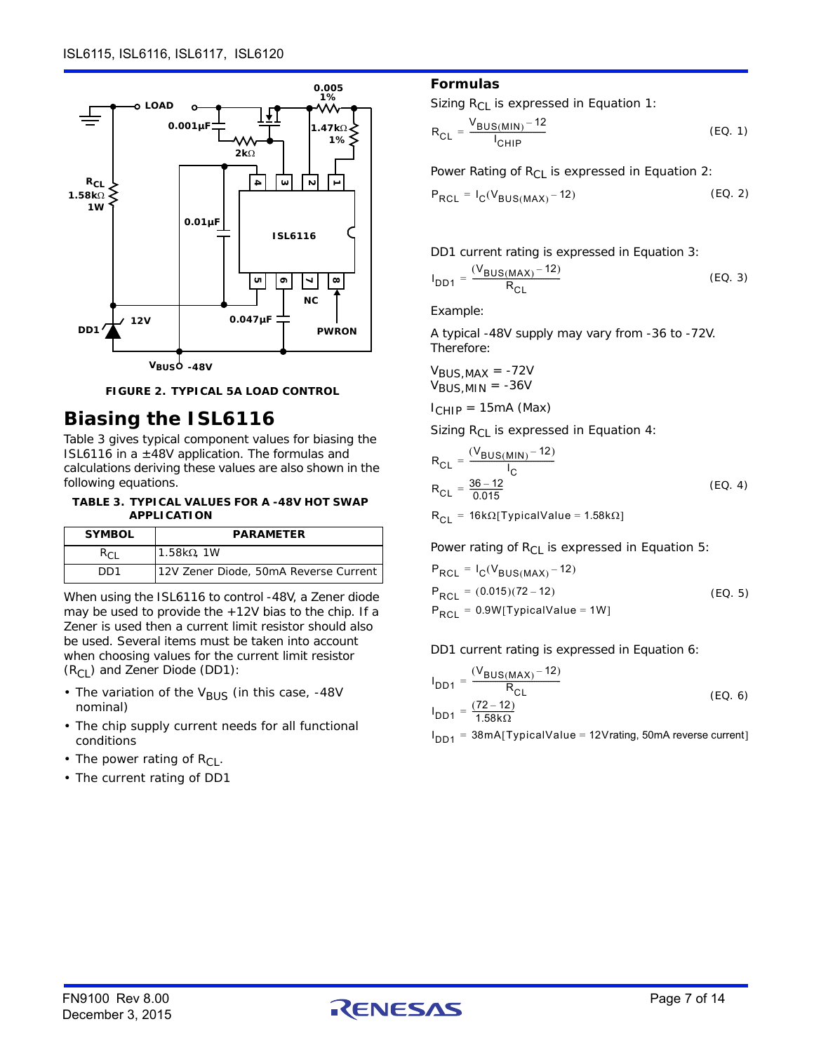



### <span id="page-6-0"></span>**Biasing the ISL6116**

Table [3](#page-6-1) gives typical component values for biasing the ISL6116 in a  $\pm$ 48V application. The formulas and calculations deriving these values are also shown in the following equations.

<span id="page-6-1"></span>**TABLE 3. TYPICAL VALUES FOR A -48V HOT SWAP APPLICATION**

| <b>SYMBOL</b> | <b>PARAMETER</b>                      |
|---------------|---------------------------------------|
| Rei           | $1.58k\Omega$ . 1W                    |
| DD1           | 12V Zener Diode, 50mA Reverse Current |

When using the ISL6116 to control -48V, a Zener diode may be used to provide the +12V bias to the chip. If a Zener is used then a current limit resistor should also be used. Several items must be taken into account when choosing values for the current limit resistor  $(R<sub>CI</sub>)$  and Zener Diode (DD1):

- The variation of the V<sub>BUS</sub> (in this case, -48V nominal)
- The chip supply current needs for all functional conditions
- The power rating of  $R_{Cl}$ .
- The current rating of DD1

### **Formulas**

Sizing  $R_{Cl}$  is expressed in Equation [1:](#page-6-2)

<span id="page-6-2"></span>
$$
R_{CL} = \frac{V_{BUS(MIN)} - 12}{I_{CHIP}}
$$
 (EO. 1)

Power Rating of  $R_{C1}$  is expressed in Equation [2](#page-6-3):

<span id="page-6-3"></span>
$$
P_{RCL} = I_C(V_{BUS(MAX)} - 12)
$$
 (EO. 2)

DD1 current rating is expressed in Equation 3:

$$
I_{DD1} = \frac{(V_{BUS(MAX)} - 12)}{R_{CL}}
$$
 (EQ. 3)

Example:

A typical -48V supply may vary from -36 to -72V. Therefore:

 $V_{BUS,MAX}$  = -72V  $V_{BUS,MIN} = -36V$ 

 $I_{CHIP} = 15mA$  (Max)

Sizing  $R_{CL}$  is expressed in Equation [4:](#page-6-4)

<span id="page-6-4"></span>
$$
R_{CL} = \frac{(V_{BUS(MIN)} - 12)}{I_C}
$$
  
\n
$$
R_{CL} = \frac{36 - 12}{0.015}
$$
 (EQ. 4)  
\n
$$
R_{CL} = 16k\Omega[TypicalValue = 1.58k\Omega]
$$

Power rating of  $R_{CL}$  is expressed in Equation [5:](#page-6-5)

<span id="page-6-5"></span>(EQ. 5)  $P_{RCL} = I_C (V_{BUS(MAX)} - 12)$  $P_{RCI} = (0.015)(72 - 12)$  $P_{RCL} = 0.9W$ [TypicalValue = 1W]

DD1 current rating is expressed in Equation 6:

$$
I_{DD1} = \frac{(V_{BUS(MAX)} - 12)}{R_{CL}}
$$
  
\n
$$
I_{DD1} = \frac{(72 - 12)}{1.58 \text{k}\Omega}
$$
 (EQ. 6)

 $I_{\mathsf{DD1}}$  = 38mA[TypicalValue = 12Vrating, 50mA reverse current]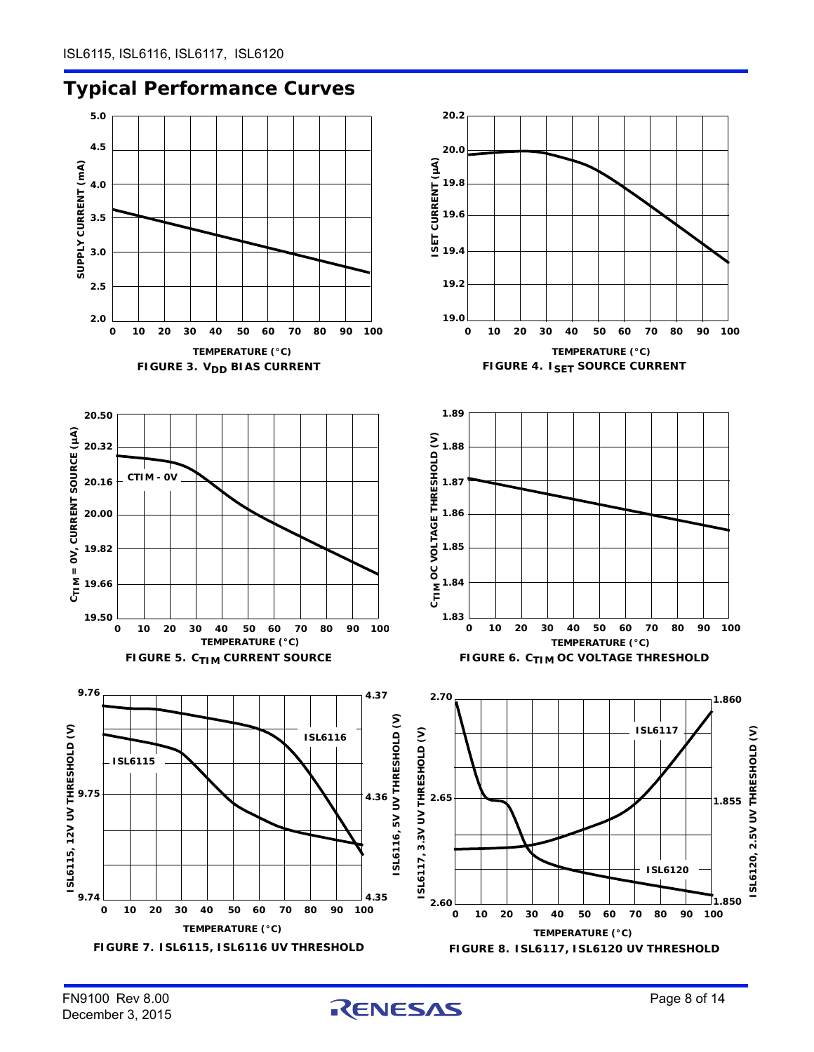



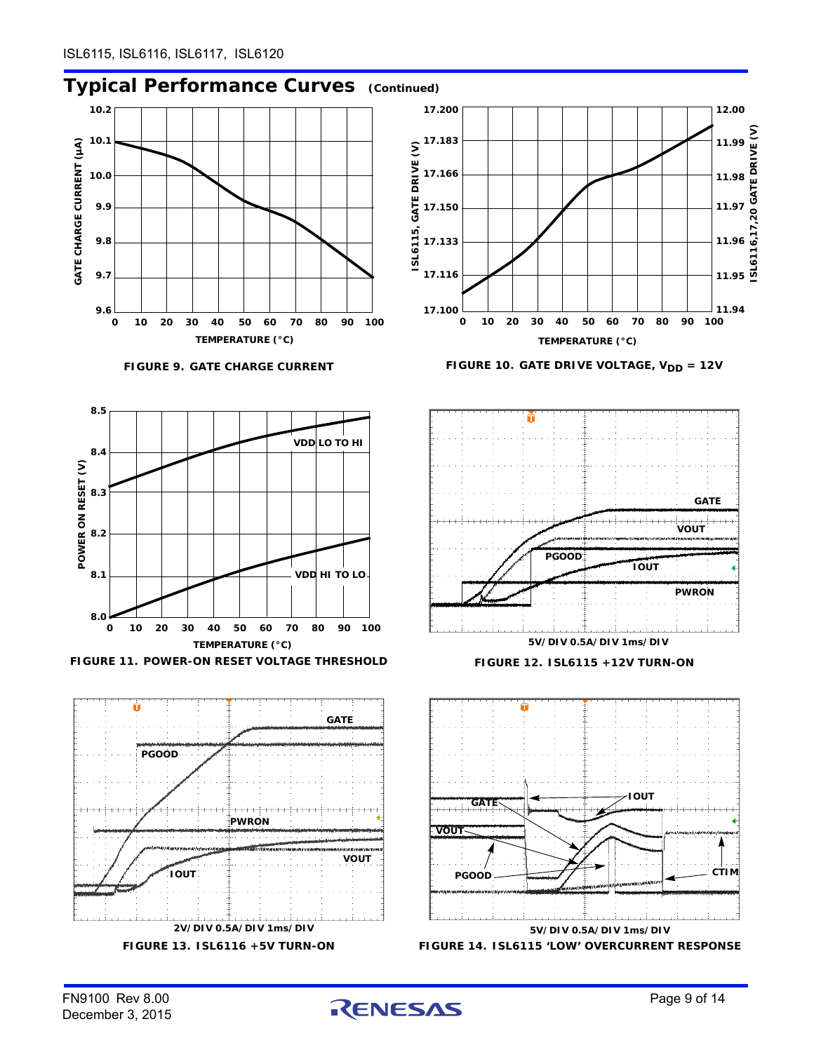### **Typical Performance Curves (Continued)**



**2V/DIV 0.5A/DIV 1ms/DIV**



**FIGURE 13. ISL6116 +5V TURN-ON FIGURE 14. ISL6115 'LOW' OVERCURRENT RESPONSE**

<span id="page-8-0"></span>**5V/DIV 0.5A/DIV 1ms/DIV**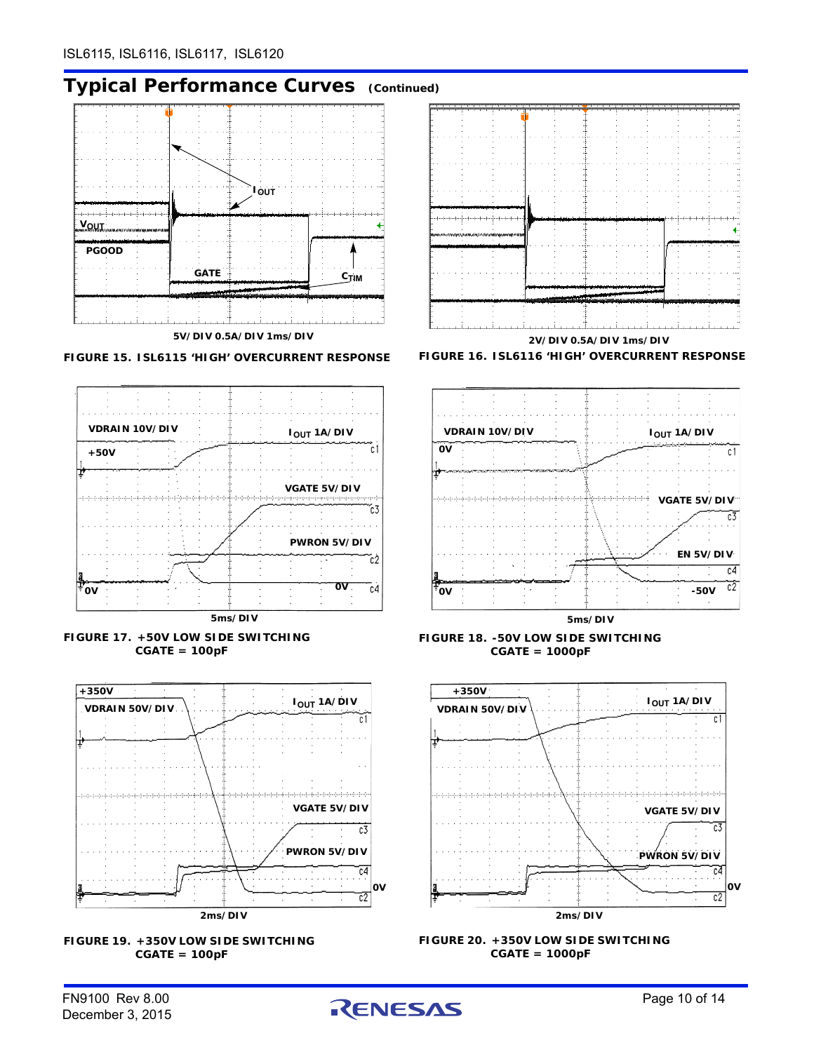### **Typical Performance Curves (Continued)**







<span id="page-9-0"></span>







<span id="page-9-2"></span>







<span id="page-9-1"></span>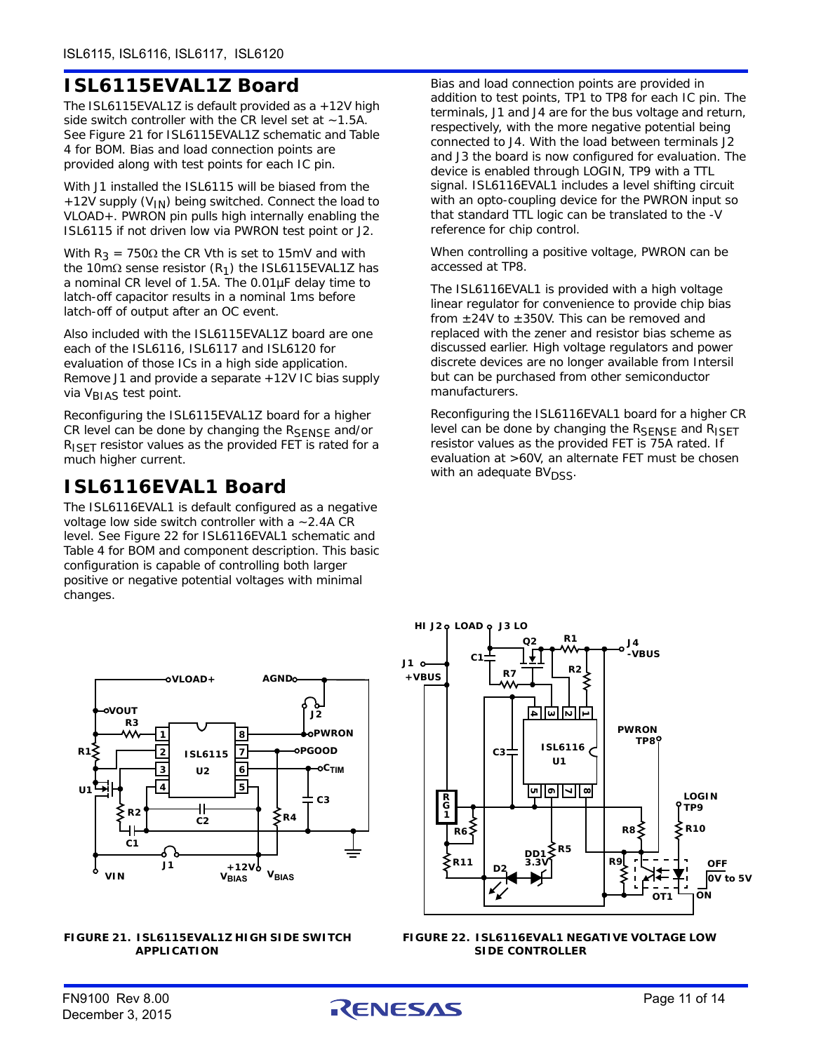# **ISL6115EVAL1Z Board**

The ISL6115EVAL1Z is default provided as a +12V high side switch controller with the CR level set at  $\sim$  1.5A. See Figure [21](#page-10-0) for ISL6115EVAL1Z schematic and Table [4](#page-11-0) for BOM. Bias and load connection points are provided along with test points for each IC pin.

With J1 installed the ISL6115 will be biased from the +12V supply (V<sub>IN</sub>) being switched. Connect the load to VLOAD+. PWRON pin pulls high internally enabling the ISL6115 if not driven low via PWRON test point or J2.

With  $R_3$  = 750 $\Omega$  the CR Vth is set to 15mV and with the 10m $\Omega$  sense resistor (R<sub>1</sub>) the ISL6115EVAL1Z has a nominal CR level of 1.5A. The 0.01µF delay time to latch-off capacitor results in a nominal 1ms before latch-off of output after an OC event.

Also included with the ISL6115EVAL1Z board are one each of the ISL6116, ISL6117 and ISL6120 for evaluation of those ICs in a high side application. Remove J1 and provide a separate +12V IC bias supply via V<sub>BIAS</sub> test point.

Reconfiguring the ISL6115EVAL1Z board for a higher CR level can be done by changing the RSENSE and/or  $R_{\text{ISET}}$  resistor values as the provided FET is rated for a much higher current.

### **ISL6116EVAL1 Board**

The ISL6116EVAL1 is default configured as a negative voltage low side switch controller with a  $\sim$  2.4A CR level. See Figure [22](#page-10-1) for ISL6116EVAL1 schematic and Table [4](#page-11-0) for BOM and component description. This basic configuration is capable of controlling both larger positive or negative potential voltages with minimal changes.

Bias and load connection points are provided in addition to test points, TP1 to TP8 for each IC pin. The terminals, J1 and J4 are for the bus voltage and return, respectively, with the more negative potential being connected to J4. With the load between terminals J2 and J3 the board is now configured for evaluation. The device is enabled through LOGIN, TP9 with a TTL signal. ISL6116EVAL1 includes a level shifting circuit with an opto-coupling device for the PWRON input so that standard TTL logic can be translated to the -V reference for chip control.

When controlling a positive voltage, PWRON can be accessed at TP8.

The ISL6116EVAL1 is provided with a high voltage linear regulator for convenience to provide chip bias from  $\pm 24V$  to  $\pm 350V$ . This can be removed and replaced with the zener and resistor bias scheme as discussed earlier. High voltage regulators and power discrete devices are no longer available from Intersil but can be purchased from other semiconductor manufacturers.

Reconfiguring the ISL6116EVAL1 board for a higher CR level can be done by changing the RSENSE and RISET resistor values as the provided FET is 75A rated. If evaluation at >60V, an alternate FET must be chosen with an adequate BV<sub>DSS</sub>.



<span id="page-10-0"></span>**FIGURE 21. ISL6115EVAL1Z HIGH SIDE SWITCH APPLICATION**



<span id="page-10-1"></span>**FIGURE 22. ISL6116EVAL1 NEGATIVE VOLTAGE LOW SIDE CONTROLLER**

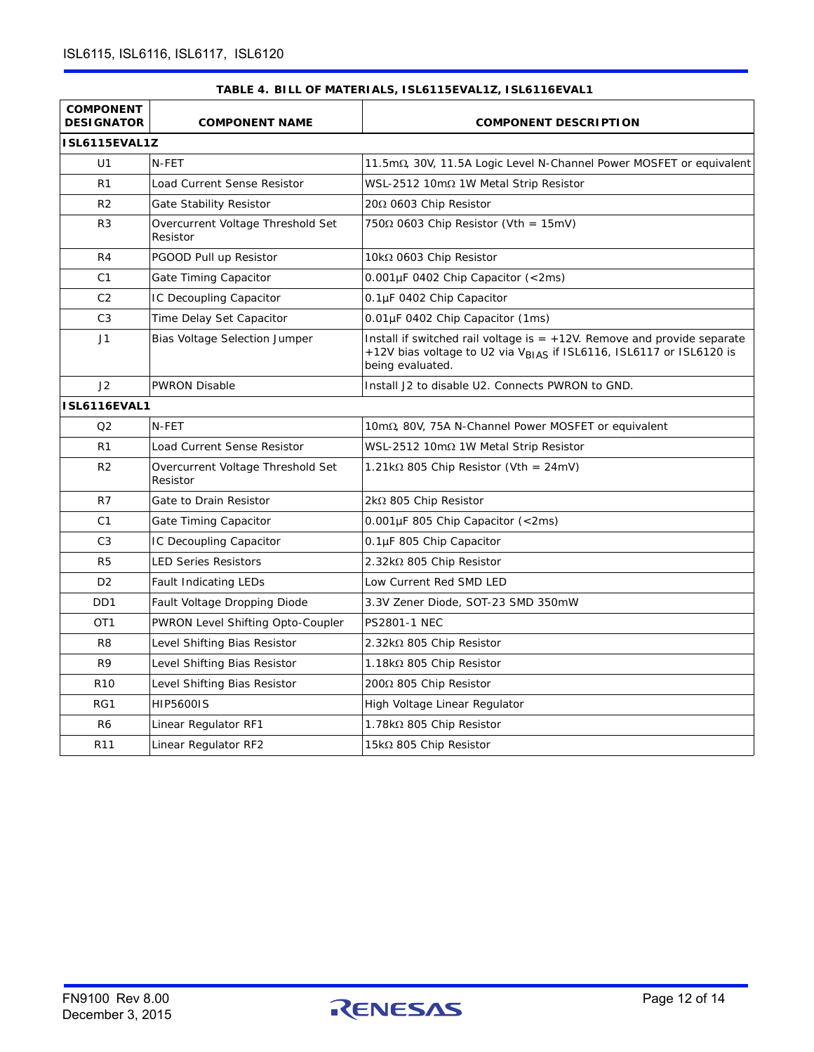<span id="page-11-0"></span>

| <b>COMPONENT</b><br><b>DESIGNATOR</b> | <b>COMPONENT NAME</b>                         | <b>COMPONENT DESCRIPTION</b>                                                                                                                                                      |
|---------------------------------------|-----------------------------------------------|-----------------------------------------------------------------------------------------------------------------------------------------------------------------------------------|
| ISL6115EVAL1Z                         |                                               |                                                                                                                                                                                   |
| U1                                    | N-FET                                         | 11.5 $m\Omega$ , 30V, 11.5A Logic Level N-Channel Power MOSFET or equivalent                                                                                                      |
| R <sub>1</sub>                        | Load Current Sense Resistor                   | WSL-2512 10m $\Omega$ 1W Metal Strip Resistor                                                                                                                                     |
| R <sub>2</sub>                        | Gate Stability Resistor                       | 20Ω 0603 Chip Resistor                                                                                                                                                            |
| R3                                    | Overcurrent Voltage Threshold Set<br>Resistor | $750\Omega$ 0603 Chip Resistor (Vth = 15mV)                                                                                                                                       |
| R <sub>4</sub>                        | PGOOD Pull up Resistor                        | 10kΩ 0603 Chip Resistor                                                                                                                                                           |
| C <sub>1</sub>                        | Gate Timing Capacitor                         | $0.001 \mu$ F 0402 Chip Capacitor (<2ms)                                                                                                                                          |
| C <sub>2</sub>                        | IC Decoupling Capacitor                       | 0.1µF 0402 Chip Capacitor                                                                                                                                                         |
| C <sub>3</sub>                        | Time Delay Set Capacitor                      | 0.01µF 0402 Chip Capacitor (1ms)                                                                                                                                                  |
| J <sub>1</sub>                        | Bias Voltage Selection Jumper                 | Install if switched rail voltage is $= +12V$ . Remove and provide separate<br>+12V bias voltage to U2 via V <sub>BIAS</sub> if ISL6116, ISL6117 or ISL6120 is<br>being evaluated. |
| J2                                    | <b>PWRON Disable</b>                          | Install J2 to disable U2. Connects PWRON to GND.                                                                                                                                  |
| ISL6116EVAL1                          |                                               |                                                                                                                                                                                   |
| Q <sub>2</sub>                        | N-FET                                         | 10 $m\Omega$ , 80V, 75A N-Channel Power MOSFET or equivalent                                                                                                                      |
| R1                                    | Load Current Sense Resistor                   | WSL-2512 10m $\Omega$ 1W Metal Strip Resistor                                                                                                                                     |
| R <sub>2</sub>                        | Overcurrent Voltage Threshold Set<br>Resistor | $1.21\mathrm{k}\Omega$ 805 Chip Resistor (Vth = 24mV)                                                                                                                             |
| R7                                    | Gate to Drain Resistor                        | $2k\Omega$ 805 Chip Resistor                                                                                                                                                      |
| C1                                    | Gate Timing Capacitor                         | $0.001 \mu$ F 805 Chip Capacitor (<2ms)                                                                                                                                           |
| C <sub>3</sub>                        | IC Decoupling Capacitor                       | 0.1µF 805 Chip Capacitor                                                                                                                                                          |
| R <sub>5</sub>                        | <b>LED Series Resistors</b>                   | $2.32k\Omega$ 805 Chip Resistor                                                                                                                                                   |
| D <sub>2</sub>                        | <b>Fault Indicating LEDs</b>                  | Low Current Red SMD LED                                                                                                                                                           |
| D <sub>D</sub> 1                      | Fault Voltage Dropping Diode                  | 3.3V Zener Diode, SOT-23 SMD 350mW                                                                                                                                                |
| OT <sub>1</sub>                       | PWRON Level Shifting Opto-Coupler             | <b>PS2801-1 NEC</b>                                                                                                                                                               |
| R <sub>8</sub>                        | Level Shifting Bias Resistor                  | $2.32$ k $\Omega$ 805 Chip Resistor                                                                                                                                               |
| R9                                    | Level Shifting Bias Resistor                  | 1.18k $\Omega$ 805 Chip Resistor                                                                                                                                                  |
| R <sub>10</sub>                       | Level Shifting Bias Resistor                  | 200Ω 805 Chip Resistor                                                                                                                                                            |
| RG1                                   | <b>HIP5600IS</b>                              | High Voltage Linear Regulator                                                                                                                                                     |
| R6                                    | Linear Regulator RF1                          | 1.78kΩ 805 Chip Resistor                                                                                                                                                          |
| R <sub>11</sub>                       | Linear Regulator RF2                          | 15k $\Omega$ 805 Chip Resistor                                                                                                                                                    |

### **TABLE 4. BILL OF MATERIALS, ISL6115EVAL1Z, ISL6116EVAL1**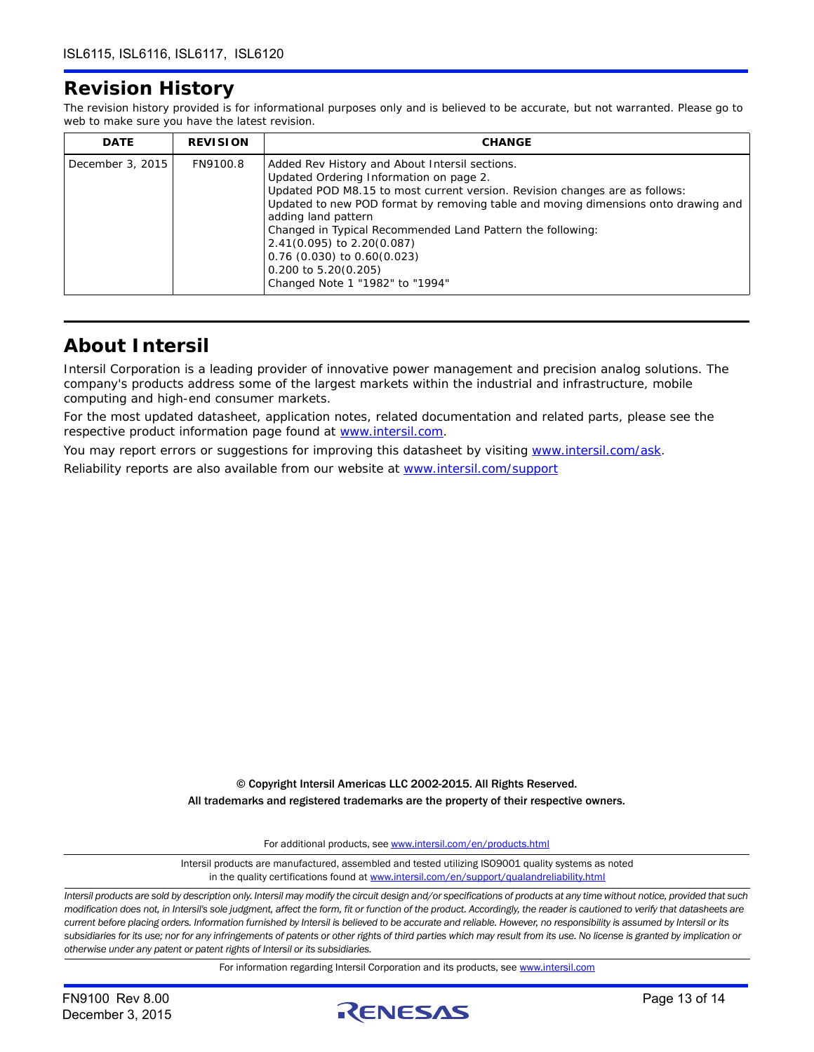### **Revision History**

The revision history provided is for informational purposes only and is believed to be accurate, but not warranted. Please go to web to make sure you have the latest revision.

| <b>DATE</b>      | <b>REVISION</b> | <b>CHANGE</b>                                                                                                                                                                                                                                                                                                                                                                                                                                                                       |
|------------------|-----------------|-------------------------------------------------------------------------------------------------------------------------------------------------------------------------------------------------------------------------------------------------------------------------------------------------------------------------------------------------------------------------------------------------------------------------------------------------------------------------------------|
| December 3, 2015 | FN9100.8        | Added Rev History and About Intersil sections.<br>Updated Ordering Information on page 2.<br>Updated POD M8.15 to most current version. Revision changes are as follows:<br>Updated to new POD format by removing table and moving dimensions onto drawing and<br>adding land pattern<br>Changed in Typical Recommended Land Pattern the following:<br>2.41(0.095) to 2.20(0.087)<br>$0.76$ (0.030) to $0.60(0.023)$<br>$0.200$ to $5.20(0.205)$<br>Changed Note 1 "1982" to "1994" |

### **About Intersil**

Intersil Corporation is a leading provider of innovative power management and precision analog solutions. The company's products address some of the largest markets within the industrial and infrastructure, mobile computing and high-end consumer markets.

For the most updated datasheet, application notes, related documentation and related parts, please see the respective product information page found at <www.intersil.com>.

You may report errors or suggestions for improving this datasheet by visiting [www.intersil.com/ask](http://www.intersil.com/en/support.html?OrganizationID=784358&p=createnewticket&p_href=http%3A%2F%2Fwww.intersil.com%2Fen%2Fsupport.html). Reliability reports are also available from our website at [www.intersil.com/support](http://www.intersil.com/en/support/qualandreliability.html#reliability)

> © Copyright Intersil Americas LLC 2002-2015. All Rights Reserved. All trademarks and registered trademarks are the property of their respective owners.

> > For additional products, see [www.intersil.com/en/products.html](http://www.intersil.com/en/products.html?utm_source=Intersil&utm_medium=datasheet&utm_campaign=disclaimer-ds-footer)

[Intersil products are manufactured, assembled and tested utilizing ISO9001 quality systems as noted](http://www.intersil.com/en/products.html?utm_source=Intersil&utm_medium=datasheet&utm_campaign=disclaimer-ds-footer) in the quality certifications found at [www.intersil.com/en/support/qualandreliability.html](http://www.intersil.com/en/support/qualandreliability.html?utm_source=Intersil&utm_medium=datasheet&utm_campaign=disclaimer-ds-footer)

*Intersil products are sold by description only. Intersil may modify the circuit design and/or specifications of products at any time without notice, provided that such modification does not, in Intersil's sole judgment, affect the form, fit or function of the product. Accordingly, the reader is cautioned to verify that datasheets are current before placing orders. Information furnished by Intersil is believed to be accurate and reliable. However, no responsibility is assumed by Intersil or its subsidiaries for its use; nor for any infringements of patents or other rights of third parties which may result from its use. No license is granted by implication or otherwise under any patent or patent rights of Intersil or its subsidiaries.*

For information regarding Intersil Corporation and its products, see [www.intersil.com](http://www.intersil.com?utm_source=intersil&utm_medium=datasheet&utm_campaign=disclaimer-ds-footer)

December 3, 2015